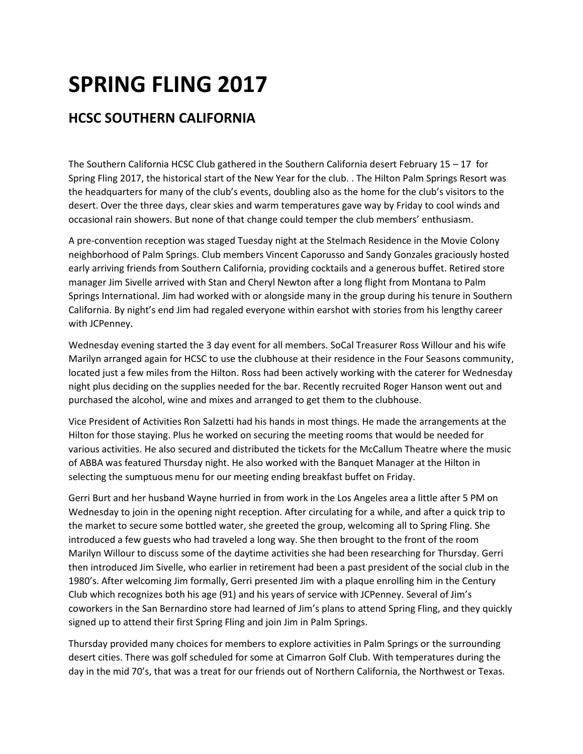## **SPRING FLING 2017**

## **HCSC SOUTHERN CALIFORNIA**

The Southern California HCSC Club gathered in the Southern California desert February  $15 - 17$  for Spring Fling 2017, the historical start of the New Year for the club. . The Hilton Palm Springs Resort was the headquarters for many of the club's events, doubling also as the home for the club's visitors to the desert. Over the three days, clear skies and warm temperatures gave way by Friday to cool winds and occasional rain showers. But none of that change could temper the club members' enthusiasm.

A pre-convention reception was staged Tuesday night at the Stelmach Residence in the Movie Colony neighborhood of Palm Springs. Club members Vincent Caporusso and Sandy Gonzales graciously hosted early arriving friends from Southern California, providing cocktails and a generous buffet. Retired store manager Jim Sivelle arrived with Stan and Cheryl Newton after a long flight from Montana to Palm Springs International. Jim had worked with or alongside many in the group during his tenure in Southern California. By night's end Jim had regaled everyone within earshot with stories from his lengthy career with JCPenney.

Wednesday evening started the 3 day event for all members. SoCal Treasurer Ross Willour and his wife Marilyn arranged again for HCSC to use the clubhouse at their residence in the Four Seasons community, located just a few miles from the Hilton. Ross had been actively working with the caterer for Wednesday night plus deciding on the supplies needed for the bar. Recently recruited Roger Hanson went out and purchased the alcohol, wine and mixes and arranged to get them to the clubhouse.

Vice President of Activities Ron Salzetti had his hands in most things. He made the arrangements at the Hilton for those staying. Plus he worked on securing the meeting rooms that would be needed for various activities. He also secured and distributed the tickets for the McCallum Theatre where the music of ABBA was featured Thursday night. He also worked with the Banquet Manager at the Hilton in selecting the sumptuous menu for our meeting ending breakfast buffet on Friday.

Gerri Burt and her husband Wayne hurried in from work in the Los Angeles area a little after 5 PM on Wednesday to join in the opening night reception. After circulating for a while, and after a quick trip to the market to secure some bottled water, she greeted the group, welcoming all to Spring Fling. She introduced a few guests who had traveled a long way. She then brought to the front of the room Marilyn Willour to discuss some of the daytime activities she had been researching for Thursday. Gerri then introduced Jim Sivelle, who earlier in retirement had been a past president of the social club in the 1980's. After welcoming Jim formally, Gerri presented Jim with a plaque enrolling him in the Century Club which recognizes both his age (91) and his years of service with JCPenney. Several of Jim's coworkers in the San Bernardino store had learned of Jim's plans to attend Spring Fling, and they quickly signed up to attend their first Spring Fling and join Jim in Palm Springs.

Thursday provided many choices for members to explore activities in Palm Springs or the surrounding desert cities. There was golf scheduled for some at Cimarron Golf Club. With temperatures during the day in the mid 70's, that was a treat for our friends out of Northern California, the Northwest or Texas.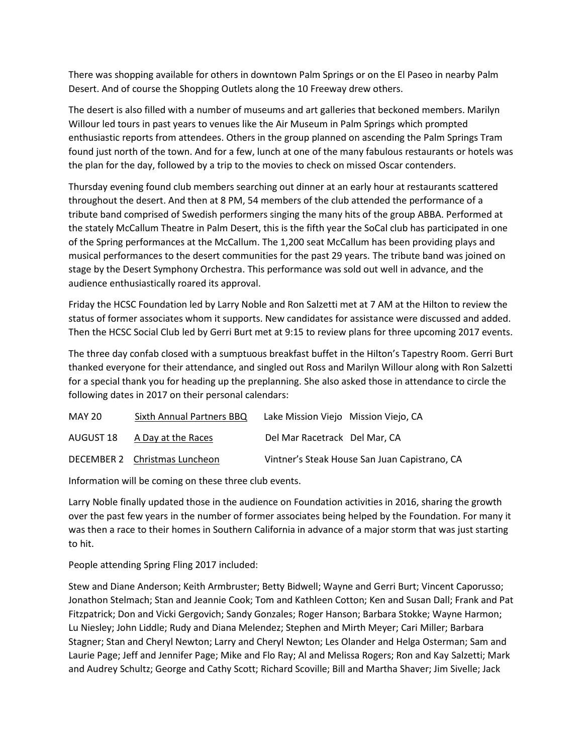There was shopping available for others in downtown Palm Springs or on the El Paseo in nearby Palm Desert. And of course the Shopping Outlets along the 10 Freeway drew others.

The desert is also filled with a number of museums and art galleries that beckoned members. Marilyn Willour led tours in past years to venues like the Air Museum in Palm Springs which prompted enthusiastic reports from attendees. Others in the group planned on ascending the Palm Springs Tram found just north of the town. And for a few, lunch at one of the many fabulous restaurants or hotels was the plan for the day, followed by a trip to the movies to check on missed Oscar contenders.

Thursday evening found club members searching out dinner at an early hour at restaurants scattered throughout the desert. And then at 8 PM, 54 members of the club attended the performance of a tribute band comprised of Swedish performers singing the many hits of the group ABBA. Performed at the stately McCallum Theatre in Palm Desert, this is the fifth year the SoCal club has participated in one of the Spring performances at the McCallum. The 1,200 seat McCallum has been providing plays and musical performances to the desert communities for the past 29 years. The tribute band was joined on stage by the Desert Symphony Orchestra. This performance was sold out well in advance, and the audience enthusiastically roared its approval.

Friday the HCSC Foundation led by Larry Noble and Ron Salzetti met at 7 AM at the Hilton to review the status of former associates whom it supports. New candidates for assistance were discussed and added. Then the HCSC Social Club led by Gerri Burt met at 9:15 to review plans for three upcoming 2017 events.

The three day confab closed with a sumptuous breakfast buffet in the Hilton's Tapestry Room. Gerri Burt thanked everyone for their attendance, and singled out Ross and Marilyn Willour along with Ron Salzetti for a special thank you for heading up the preplanning. She also asked those in attendance to circle the following dates in 2017 on their personal calendars:

| MAY 20    | Sixth Annual Partners BBQ     | Lake Mission Viejo Mission Viejo, CA          |
|-----------|-------------------------------|-----------------------------------------------|
| AUGUST 18 | A Day at the Races            | Del Mar Racetrack Del Mar, CA                 |
|           | DECEMBER 2 Christmas Luncheon | Vintner's Steak House San Juan Capistrano, CA |

Information will be coming on these three club events.

Larry Noble finally updated those in the audience on Foundation activities in 2016, sharing the growth over the past few years in the number of former associates being helped by the Foundation. For many it was then a race to their homes in Southern California in advance of a major storm that was just starting to hit.

People attending Spring Fling 2017 included:

Stew and Diane Anderson; Keith Armbruster; Betty Bidwell; Wayne and Gerri Burt; Vincent Caporusso; Jonathon Stelmach; Stan and Jeannie Cook; Tom and Kathleen Cotton; Ken and Susan Dall; Frank and Pat Fitzpatrick; Don and Vicki Gergovich; Sandy Gonzales; Roger Hanson; Barbara Stokke; Wayne Harmon; Lu Niesley; John Liddle; Rudy and Diana Melendez; Stephen and Mirth Meyer; Cari Miller; Barbara Stagner; Stan and Cheryl Newton; Larry and Cheryl Newton; Les Olander and Helga Osterman; Sam and Laurie Page; Jeff and Jennifer Page; Mike and Flo Ray; Al and Melissa Rogers; Ron and Kay Salzetti; Mark and Audrey Schultz; George and Cathy Scott; Richard Scoville; Bill and Martha Shaver; Jim Sivelle; Jack